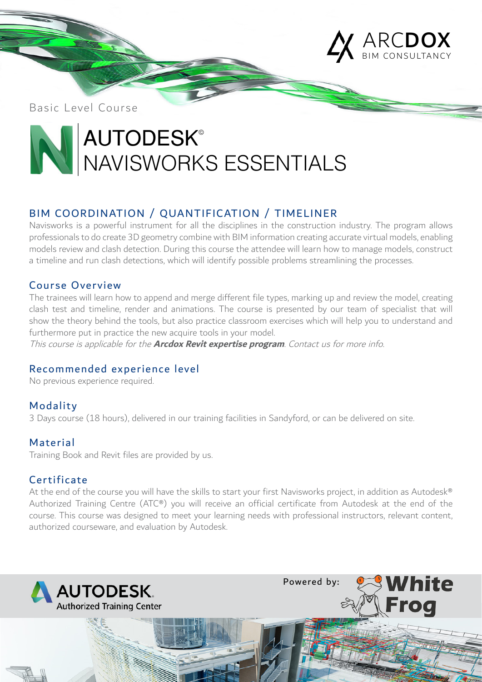

Basic Level Course

# **AUTODESK®** NAVISWORKS ESSENTIALS

# BIM COORDINATION / QUANTIFICATION / TIMELINER

Navisworks is a powerful instrument for all the disciplines in the construction industry. The program allows professionals to do create 3D geometry combine with BIM information creating accurate virtual models, enabling models review and clash detection. During this course the attendee will learn how to manage models, construct a timeline and run clash detections, which will identify possible problems streamlining the processes.

## Course Overview

The trainees will learn how to append and merge different file types, marking up and review the model, creating clash test and timeline, render and animations. The course is presented by our team of specialist that will show the theory behind the tools, but also practice classroom exercises which will help you to understand and furthermore put in practice the new acquire tools in your model.

This course is applicable for the **Arcdox Revit expertise program**. Contact us for more info.

# Recommended experience level

No previous experience required.

# Modality

3 Days course (18 hours), delivered in our training facilities in Sandyford, or can be delivered on site.

## Material

Training Book and Revit files are provided by us.

## **Certificate**

At the end of the course you will have the skills to start your first Navisworks project, in addition as Autodesk® Authorized Training Centre (ATC®) you will receive an official certificate from Autodesk at the end of the course. This course was designed to meet your learning needs with professional instructors, relevant content, authorized courseware, and evaluation by Autodesk.